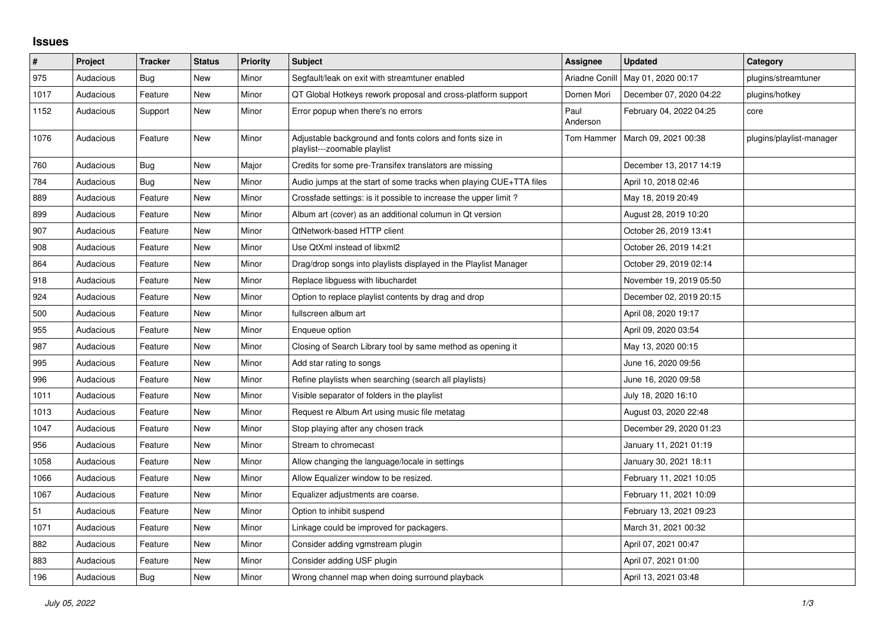## **Issues**

| $\sharp$ | Project   | <b>Tracker</b> | <b>Status</b> | <b>Priority</b> | Subject                                                                                  | <b>Assignee</b>       | <b>Updated</b>          | Category                 |
|----------|-----------|----------------|---------------|-----------------|------------------------------------------------------------------------------------------|-----------------------|-------------------------|--------------------------|
| 975      | Audacious | Bug            | New           | Minor           | Segfault/leak on exit with streamtuner enabled                                           | <b>Ariadne Conill</b> | May 01, 2020 00:17      | plugins/streamtuner      |
| 1017     | Audacious | Feature        | New           | Minor           | QT Global Hotkeys rework proposal and cross-platform support                             | Domen Mori            | December 07, 2020 04:22 | plugins/hotkey           |
| 1152     | Audacious | Support        | New           | Minor           | Error popup when there's no errors                                                       | Paul<br>Anderson      | February 04, 2022 04:25 | core                     |
| 1076     | Audacious | Feature        | New           | Minor           | Adjustable background and fonts colors and fonts size in<br>playlist---zoomable playlist | Tom Hammer            | March 09, 2021 00:38    | plugins/playlist-manager |
| 760      | Audacious | <b>Bug</b>     | <b>New</b>    | Major           | Credits for some pre-Transifex translators are missing                                   |                       | December 13, 2017 14:19 |                          |
| 784      | Audacious | Bug            | New           | Minor           | Audio jumps at the start of some tracks when playing CUE+TTA files                       |                       | April 10, 2018 02:46    |                          |
| 889      | Audacious | Feature        | <b>New</b>    | Minor           | Crossfade settings: is it possible to increase the upper limit?                          |                       | May 18, 2019 20:49      |                          |
| 899      | Audacious | Feature        | New           | Minor           | Album art (cover) as an additional columun in Qt version                                 |                       | August 28, 2019 10:20   |                          |
| 907      | Audacious | Feature        | <b>New</b>    | Minor           | QtNetwork-based HTTP client                                                              |                       | October 26, 2019 13:41  |                          |
| 908      | Audacious | Feature        | New           | Minor           | Use QtXml instead of libxml2                                                             |                       | October 26, 2019 14:21  |                          |
| 864      | Audacious | Feature        | New           | Minor           | Drag/drop songs into playlists displayed in the Playlist Manager                         |                       | October 29, 2019 02:14  |                          |
| 918      | Audacious | Feature        | New           | Minor           | Replace libguess with libuchardet                                                        |                       | November 19, 2019 05:50 |                          |
| 924      | Audacious | Feature        | New           | Minor           | Option to replace playlist contents by drag and drop                                     |                       | December 02, 2019 20:15 |                          |
| 500      | Audacious | Feature        | <b>New</b>    | Minor           | fullscreen album art                                                                     |                       | April 08, 2020 19:17    |                          |
| 955      | Audacious | Feature        | New           | Minor           | Enqueue option                                                                           |                       | April 09, 2020 03:54    |                          |
| 987      | Audacious | Feature        | <b>New</b>    | Minor           | Closing of Search Library tool by same method as opening it                              |                       | May 13, 2020 00:15      |                          |
| 995      | Audacious | Feature        | New           | Minor           | Add star rating to songs                                                                 |                       | June 16, 2020 09:56     |                          |
| 996      | Audacious | Feature        | New           | Minor           | Refine playlists when searching (search all playlists)                                   |                       | June 16, 2020 09:58     |                          |
| 1011     | Audacious | Feature        | New           | Minor           | Visible separator of folders in the playlist                                             |                       | July 18, 2020 16:10     |                          |
| 1013     | Audacious | Feature        | <b>New</b>    | Minor           | Request re Album Art using music file metatag                                            |                       | August 03, 2020 22:48   |                          |
| 1047     | Audacious | Feature        | New           | Minor           | Stop playing after any chosen track                                                      |                       | December 29, 2020 01:23 |                          |
| 956      | Audacious | Feature        | <b>New</b>    | Minor           | Stream to chromecast                                                                     |                       | January 11, 2021 01:19  |                          |
| 1058     | Audacious | Feature        | <b>New</b>    | Minor           | Allow changing the language/locale in settings                                           |                       | January 30, 2021 18:11  |                          |
| 1066     | Audacious | Feature        | New           | Minor           | Allow Equalizer window to be resized.                                                    |                       | February 11, 2021 10:05 |                          |
| 1067     | Audacious | Feature        | New           | Minor           | Equalizer adjustments are coarse.                                                        |                       | February 11, 2021 10:09 |                          |
| 51       | Audacious | Feature        | New           | Minor           | Option to inhibit suspend                                                                |                       | February 13, 2021 09:23 |                          |
| 1071     | Audacious | Feature        | New           | Minor           | Linkage could be improved for packagers.                                                 |                       | March 31, 2021 00:32    |                          |
| 882      | Audacious | Feature        | New           | Minor           | Consider adding vgmstream plugin                                                         |                       | April 07, 2021 00:47    |                          |
| 883      | Audacious | Feature        | New           | Minor           | Consider adding USF plugin                                                               |                       | April 07, 2021 01:00    |                          |
| 196      | Audacious | <b>Bug</b>     | New           | Minor           | Wrong channel map when doing surround playback                                           |                       | April 13, 2021 03:48    |                          |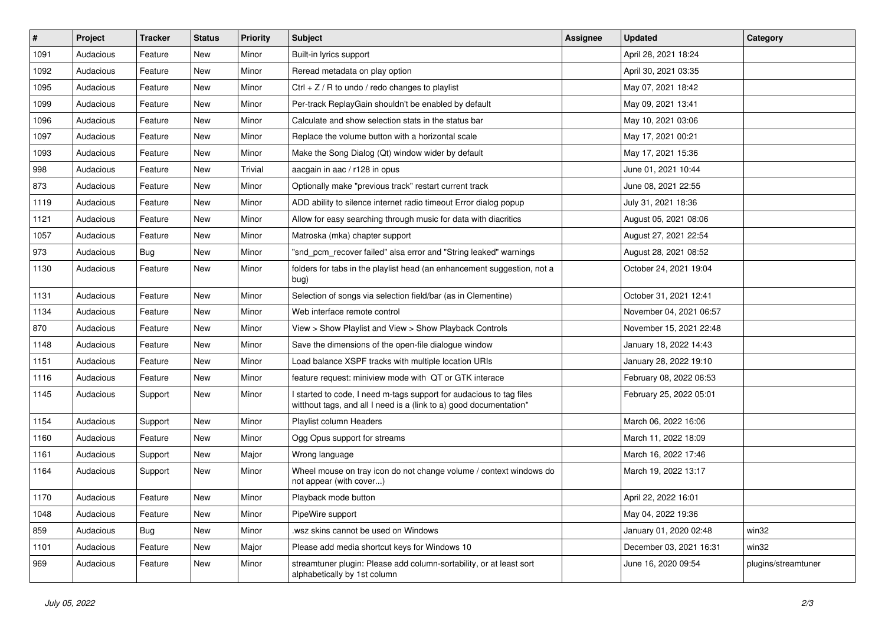| $\vert$ # | Project   | Tracker | <b>Status</b> | <b>Priority</b> | Subject                                                                                                                                   | <b>Assignee</b> | <b>Updated</b>          | Category            |
|-----------|-----------|---------|---------------|-----------------|-------------------------------------------------------------------------------------------------------------------------------------------|-----------------|-------------------------|---------------------|
| 1091      | Audacious | Feature | New           | Minor           | Built-in lyrics support                                                                                                                   |                 | April 28, 2021 18:24    |                     |
| 1092      | Audacious | Feature | <b>New</b>    | Minor           | Reread metadata on play option                                                                                                            |                 | April 30, 2021 03:35    |                     |
| 1095      | Audacious | Feature | New           | Minor           | Ctrl $+$ Z / R to undo / redo changes to playlist                                                                                         |                 | May 07, 2021 18:42      |                     |
| 1099      | Audacious | Feature | New           | Minor           | Per-track ReplayGain shouldn't be enabled by default                                                                                      |                 | May 09, 2021 13:41      |                     |
| 1096      | Audacious | Feature | New           | Minor           | Calculate and show selection stats in the status bar                                                                                      |                 | May 10, 2021 03:06      |                     |
| 1097      | Audacious | Feature | New           | Minor           | Replace the volume button with a horizontal scale                                                                                         |                 | May 17, 2021 00:21      |                     |
| 1093      | Audacious | Feature | New           | Minor           | Make the Song Dialog (Qt) window wider by default                                                                                         |                 | May 17, 2021 15:36      |                     |
| 998       | Audacious | Feature | New           | Trivial         | aacgain in aac / r128 in opus                                                                                                             |                 | June 01, 2021 10:44     |                     |
| 873       | Audacious | Feature | New           | Minor           | Optionally make "previous track" restart current track                                                                                    |                 | June 08, 2021 22:55     |                     |
| 1119      | Audacious | Feature | New           | Minor           | ADD ability to silence internet radio timeout Error dialog popup                                                                          |                 | July 31, 2021 18:36     |                     |
| 1121      | Audacious | Feature | New           | Minor           | Allow for easy searching through music for data with diacritics                                                                           |                 | August 05, 2021 08:06   |                     |
| 1057      | Audacious | Feature | <b>New</b>    | Minor           | Matroska (mka) chapter support                                                                                                            |                 | August 27, 2021 22:54   |                     |
| 973       | Audacious | Bug     | New           | Minor           | "snd_pcm_recover failed" alsa error and "String leaked" warnings                                                                          |                 | August 28, 2021 08:52   |                     |
| 1130      | Audacious | Feature | New           | Minor           | folders for tabs in the playlist head (an enhancement suggestion, not a<br>bug)                                                           |                 | October 24, 2021 19:04  |                     |
| 1131      | Audacious | Feature | New           | Minor           | Selection of songs via selection field/bar (as in Clementine)                                                                             |                 | October 31, 2021 12:41  |                     |
| 1134      | Audacious | Feature | New           | Minor           | Web interface remote control                                                                                                              |                 | November 04, 2021 06:57 |                     |
| 870       | Audacious | Feature | New           | Minor           | View > Show Playlist and View > Show Playback Controls                                                                                    |                 | November 15, 2021 22:48 |                     |
| 1148      | Audacious | Feature | New           | Minor           | Save the dimensions of the open-file dialogue window                                                                                      |                 | January 18, 2022 14:43  |                     |
| 1151      | Audacious | Feature | <b>New</b>    | Minor           | Load balance XSPF tracks with multiple location URIs                                                                                      |                 | January 28, 2022 19:10  |                     |
| 1116      | Audacious | Feature | New           | Minor           | feature request: miniview mode with QT or GTK interace                                                                                    |                 | February 08, 2022 06:53 |                     |
| 1145      | Audacious | Support | New           | Minor           | I started to code, I need m-tags support for audacious to tag files<br>witthout tags, and all I need is a (link to a) good documentation* |                 | February 25, 2022 05:01 |                     |
| 1154      | Audacious | Support | New           | Minor           | Playlist column Headers                                                                                                                   |                 | March 06, 2022 16:06    |                     |
| 1160      | Audacious | Feature | New           | Minor           | Ogg Opus support for streams                                                                                                              |                 | March 11, 2022 18:09    |                     |
| 1161      | Audacious | Support | New           | Major           | Wrong language                                                                                                                            |                 | March 16, 2022 17:46    |                     |
| 1164      | Audacious | Support | New           | Minor           | Wheel mouse on tray icon do not change volume / context windows do<br>not appear (with cover)                                             |                 | March 19, 2022 13:17    |                     |
| 1170      | Audacious | Feature | New           | Minor           | Playback mode button                                                                                                                      |                 | April 22, 2022 16:01    |                     |
| 1048      | Audacious | Feature | New           | Minor           | PipeWire support                                                                                                                          |                 | May 04, 2022 19:36      |                     |
| 859       | Audacious | Bug     | New           | Minor           | .wsz skins cannot be used on Windows                                                                                                      |                 | January 01, 2020 02:48  | win32               |
| 1101      | Audacious | Feature | New           | Major           | Please add media shortcut keys for Windows 10                                                                                             |                 | December 03, 2021 16:31 | win32               |
| 969       | Audacious | Feature | New           | Minor           | streamtuner plugin: Please add column-sortability, or at least sort<br>alphabetically by 1st column                                       |                 | June 16, 2020 09:54     | plugins/streamtuner |